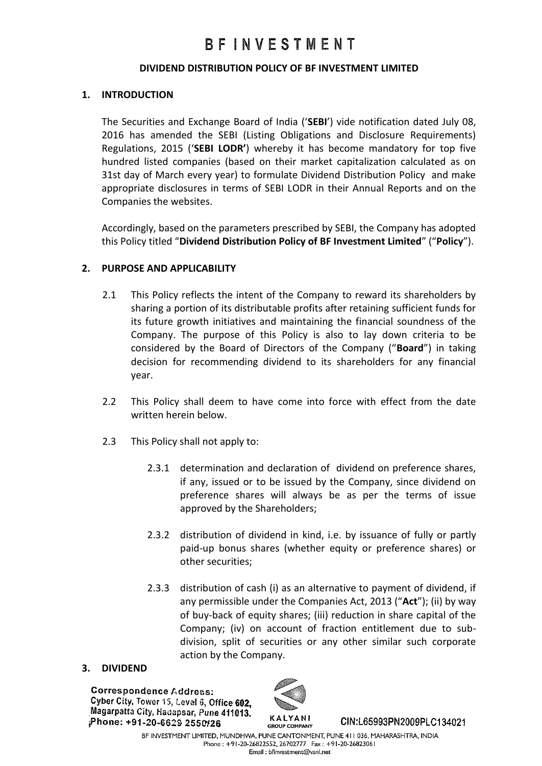#### **DIVIDEND DISTRIBUTION POLICY OF BF INVESTMENT LIMITED**

#### **1. INTRODUCTION**

The Securities and Exchange Board of India ('**SEBI**') vide notification dated July 08, 2016 has amended the SEBI (Listing Obligations and Disclosure Requirements) Regulations, 2015 ('**SEBI LODR'**) whereby it has become mandatory for top five hundred listed companies (based on their market capitalization calculated as on 31st day of March every year) to formulate Dividend Distribution Policy and make appropriate disclosures in terms of SEBI LODR in their Annual Reports and on the Companies the websites.

Accordingly, based on the parameters prescribed by SEBI, the Company has adopted this Policy titled "**Dividend Distribution Policy of BF Investment Limited**" ("**Policy**").

#### **2. PURPOSE AND APPLICABILITY**

- 2.1 This Policy reflects the intent of the Company to reward its shareholders by sharing a portion of its distributable profits after retaining sufficient funds for its future growth initiatives and maintaining the financial soundness of the Company. The purpose of this Policy is also to lay down criteria to be considered by the Board of Directors of the Company ("**Board**") in taking decision for recommending dividend to its shareholders for any financial year.
- 2.2 This Policy shall deem to have come into force with effect from the date written herein below.
- 2.3 This Policy shall not apply to:
	- 2.3.1 determination and declaration of dividend on preference shares, if any, issued or to be issued by the Company, since dividend on preference shares will always be as per the terms of issue approved by the Shareholders;
	- 2.3.2 distribution of dividend in kind, i.e. by issuance of fully or partly paid-up bonus shares (whether equity or preference shares) or other securities;
	- 2.3.3 distribution of cash (i) as an alternative to payment of dividend, if any permissible under the Companies Act, 2013 ("**Act**"); (ii) by way of buy-back of equity shares; (iii) reduction in share capital of the Company; (iv) on account of fraction entitlement due to subdivision, split of securities or any other similar such corporate action by the Company.

#### **3. DIVIDEND**

**Correspondence Address:** Cyber City, Tower 15, Level 6, Office 602. Magarpatta City, Hadapsar, Pune 411013. Phone: +91-20-6629 2550/26



CIN:L65993PN2009PLC134021

BF INVESTMENT LIMITED, MUNDHWA, PUNE CANTONMENT, PUNE 411 036, MAHARASHTRA, INDIA Phone: +91-20-26822552, 26702777 Fax: +91-20-26823061 Email: bfinvestment@vsnl.net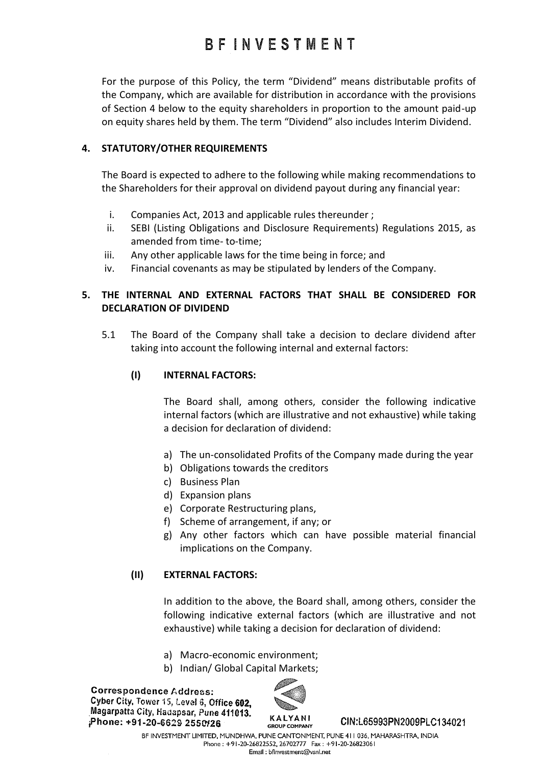For the purpose of this Policy, the term "Dividend" means distributable profits of the Company, which are available for distribution in accordance with the provisions of Section 4 below to the equity shareholders in proportion to the amount paid-up on equity shares held by them. The term "Dividend" also includes Interim Dividend.

## **4. STATUTORY/OTHER REQUIREMENTS**

The Board is expected to adhere to the following while making recommendations to the Shareholders for their approval on dividend payout during any financial year:

- i. Companies Act, 2013 and applicable rules thereunder ;
- ii. SEBI (Listing Obligations and Disclosure Requirements) Regulations 2015, as amended from time- to-time;
- iii. Any other applicable laws for the time being in force; and
- iv. Financial covenants as may be stipulated by lenders of the Company.

## **5. THE INTERNAL AND EXTERNAL FACTORS THAT SHALL BE CONSIDERED FOR DECLARATION OF DIVIDEND**

5.1 The Board of the Company shall take a decision to declare dividend after taking into account the following internal and external factors:

#### **(I) INTERNAL FACTORS:**

The Board shall, among others, consider the following indicative internal factors (which are illustrative and not exhaustive) while taking a decision for declaration of dividend:

- a) The un-consolidated Profits of the Company made during the year
- b) Obligations towards the creditors
- c) Business Plan
- d) Expansion plans
- e) Corporate Restructuring plans,
- f) Scheme of arrangement, if any; or
- g) Any other factors which can have possible material financial implications on the Company.

#### **(II) EXTERNAL FACTORS:**

In addition to the above, the Board shall, among others, consider the following indicative external factors (which are illustrative and not exhaustive) while taking a decision for declaration of dividend:

- a) Macro-economic environment;
- b) Indian/ Global Capital Markets;

**Correspondence Address:** Cyber City, Tower 15, Level 6, Office 602. Magarpatta City, Hadapsar, Pune 411013. Phone: +91-20-6629 2550/26



CIN:L65993PN2009PLC134021

BF INVESTMENT LIMITED, MUNDHWA, PUNE CANTONMENT, PUNE 411 036, MAHARASHTRA, INDIA Phone: +91-20-26822552, 26702777 Fax: +91-20-26823061 Email: bfinvestment@vsnl.net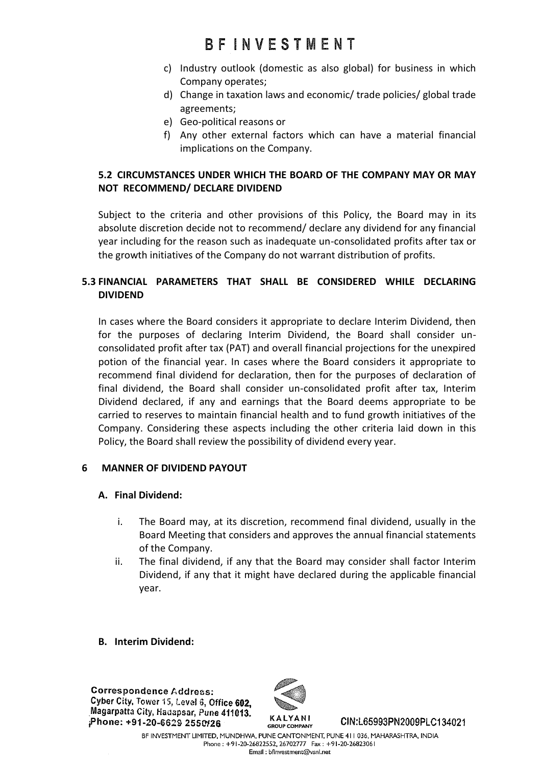- c) Industry outlook (domestic as also global) for business in which Company operates;
- d) Change in taxation laws and economic/ trade policies/ global trade agreements;
- e) Geo-political reasons or
- f) Any other external factors which can have a material financial implications on the Company.

## **5.2 CIRCUMSTANCES UNDER WHICH THE BOARD OF THE COMPANY MAY OR MAY NOT RECOMMEND/ DECLARE DIVIDEND**

Subject to the criteria and other provisions of this Policy, the Board may in its absolute discretion decide not to recommend/ declare any dividend for any financial year including for the reason such as inadequate un-consolidated profits after tax or the growth initiatives of the Company do not warrant distribution of profits.

## **5.3 FINANCIAL PARAMETERS THAT SHALL BE CONSIDERED WHILE DECLARING DIVIDEND**

In cases where the Board considers it appropriate to declare Interim Dividend, then for the purposes of declaring Interim Dividend, the Board shall consider unconsolidated profit after tax (PAT) and overall financial projections for the unexpired potion of the financial year. In cases where the Board considers it appropriate to recommend final dividend for declaration, then for the purposes of declaration of final dividend, the Board shall consider un-consolidated profit after tax, Interim Dividend declared, if any and earnings that the Board deems appropriate to be carried to reserves to maintain financial health and to fund growth initiatives of the Company. Considering these aspects including the other criteria laid down in this Policy, the Board shall review the possibility of dividend every year.

## **6 MANNER OF DIVIDEND PAYOUT**

## **A. Final Dividend:**

- i. The Board may, at its discretion, recommend final dividend, usually in the Board Meeting that considers and approves the annual financial statements of the Company.
- ii. The final dividend, if any that the Board may consider shall factor Interim Dividend, if any that it might have declared during the applicable financial year.
- **B. Interim Dividend:**

**Correspondence Address:** Cyber City, Tower 15, Level 6, Office 602. Magarpatta City, Hadapsar, Pune 411013. Phone: +91-20-6629 2550/26



CIN:L65993PN2009PLC134021

BF INVESTMENT LIMITED, MUNDHWA, PUNE CANTONMENT, PUNE 411 036, MAHARASHTRA, INDIA Phone: +91-20-26822552, 26702777 Fax: +91-20-26823061 Email: bfinvestment@vsnl.net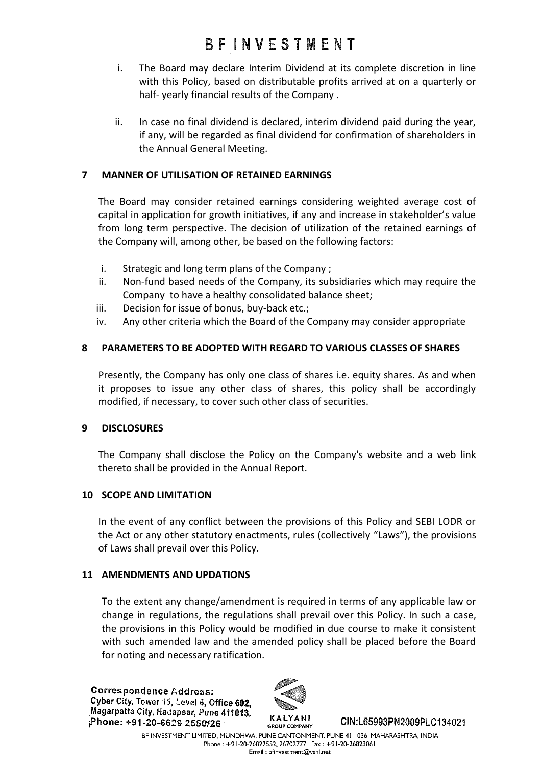# **BFINVESTMENT**

- i. The Board may declare Interim Dividend at its complete discretion in line with this Policy, based on distributable profits arrived at on a quarterly or half- yearly financial results of the Company .
- ii. In case no final dividend is declared, interim dividend paid during the year, if any, will be regarded as final dividend for confirmation of shareholders in the Annual General Meeting.

## **7 MANNER OF UTILISATION OF RETAINED EARNINGS**

The Board may consider retained earnings considering weighted average cost of capital in application for growth initiatives, if any and increase in stakeholder's value from long term perspective. The decision of utilization of the retained earnings of the Company will, among other, be based on the following factors:

- i. Strategic and long term plans of the Company ;
- ii. Non-fund based needs of the Company, its subsidiaries which may require the Company to have a healthy consolidated balance sheet;
- iii. Decision for issue of bonus, buy-back etc.;
- iv. Any other criteria which the Board of the Company may consider appropriate

## **8 PARAMETERS TO BE ADOPTED WITH REGARD TO VARIOUS CLASSES OF SHARES**

Presently, the Company has only one class of shares i.e. equity shares. As and when it proposes to issue any other class of shares, this policy shall be accordingly modified, if necessary, to cover such other class of securities.

## **9 DISCLOSURES**

The Company shall disclose the Policy on the Company's website and a web link thereto shall be provided in the Annual Report.

## **10 SCOPE AND LIMITATION**

In the event of any conflict between the provisions of this Policy and SEBI LODR or the Act or any other statutory enactments, rules (collectively "Laws"), the provisions of Laws shall prevail over this Policy.

## **11 AMENDMENTS AND UPDATIONS**

To the extent any change/amendment is required in terms of any applicable law or change in regulations, the regulations shall prevail over this Policy. In such a case, the provisions in this Policy would be modified in due course to make it consistent with such amended law and the amended policy shall be placed before the Board for noting and necessary ratification.

**Correspondence Address:** Cyber City, Tower 15, Level 6, Office 602. Magarpatta City, Hadapsar, Pune 411013. Phone: +91-20-6629 2550/26



CIN:L65993PN2009PLC134021

BF INVESTMENT LIMITED, MUNDHWA, PUNE CANTONMENT, PUNE 411 036, MAHARASHTRA, INDIA Phone: +91-20-26822552, 26702777 Fax: +91-20-26823061 Email: bfinvestment@vsnl.net